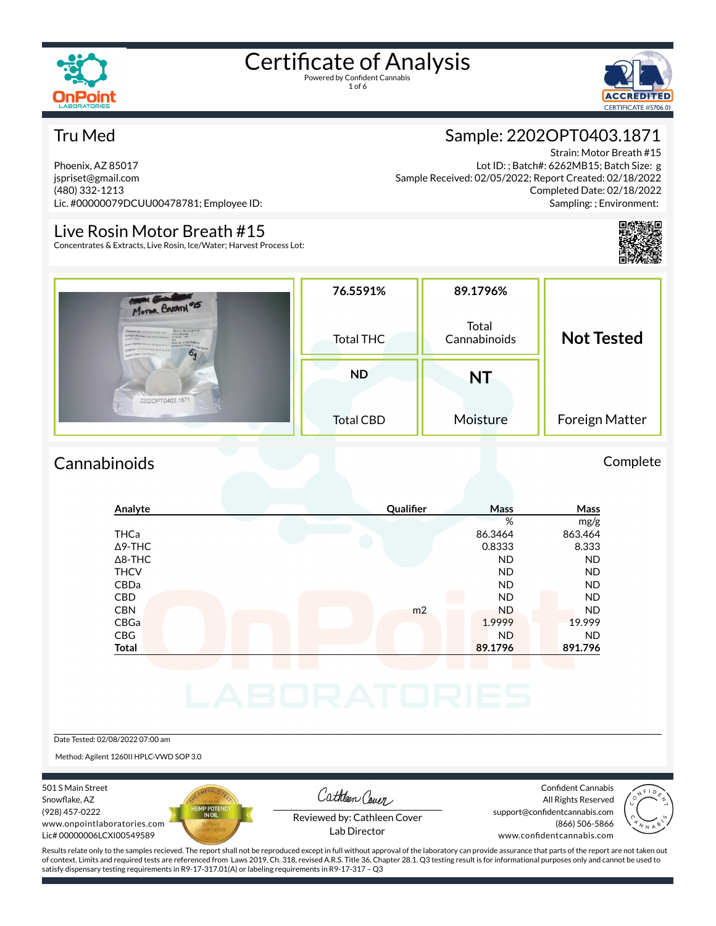



### Tru Med

Phoenix, AZ 85017 jspriset@gmail.com (480) 332-1213 Lic. #00000079DCUU00478781; Employee ID:

### Live Rosin Motor Breath #15

Concentrates & Extracts, Live Rosin, Ice/Water; Harvest Process Lot:

### Sample: 2202OPT0403.1871

Strain: Motor Breath #15 Lot ID: ; Batch#: 6262MB15; Batch Size: g Sample Received: 02/05/2022; Report Created: 02/18/2022 Completed Date: 02/18/2022 Sampling: ; Environment:



| MOTOR BREATH #15<br>Motor Breath#15<br>Sample ID: 22020PT0403.1871<br>Live Rosin<br>Sample Name: Live Roxin Motor 2/3/22 70°<br>each #15<br>grain Name: Motor Breath #15 00000079DCUL(0478781<br>category: Concentrates & Extracts<br>simple Type: Live Rosin<br>$\bullet$ | 76.5591%<br><b>Total THC</b>  | 89.1796%<br>Total<br>Cannabinoids | <b>Not Tested</b> |  |
|----------------------------------------------------------------------------------------------------------------------------------------------------------------------------------------------------------------------------------------------------------------------------|-------------------------------|-----------------------------------|-------------------|--|
| 2202OPT0403.1871                                                                                                                                                                                                                                                           | <b>ND</b><br><b>Total CBD</b> | <b>NT</b><br>Moisture             | Foreign Matter    |  |

### Cannabinoids Complete

| Analyte        | Qualifier      | Mass      | Mass      |
|----------------|----------------|-----------|-----------|
|                |                | %         | mg/g      |
| <b>THCa</b>    |                | 86.3464   | 863.464   |
| $\Delta$ 9-THC |                | 0.8333    | 8.333     |
| $\Delta$ 8-THC |                | <b>ND</b> | <b>ND</b> |
| <b>THCV</b>    |                | <b>ND</b> | <b>ND</b> |
| CBDa           |                | <b>ND</b> | <b>ND</b> |
| <b>CBD</b>     |                | <b>ND</b> | <b>ND</b> |
| <b>CBN</b>     | m <sub>2</sub> | <b>ND</b> | <b>ND</b> |
| CBGa           |                | 1.9999    | 19.999    |
| <b>CBG</b>     |                | <b>ND</b> | <b>ND</b> |
| <b>Total</b>   |                | 89.1796   | 891.796   |

#### Date Tested: 02/08/2022 07:00 am

Method: Agilent 1260II HPLC-VWD SOP 3.0

#### 501 S Main Street Snowflake, AZ (928) 457-0222 www.onpointlaboratories.com Lic# 00000006LCXI00549589



Cathleen Cover

Confident Cannabis All Rights Reserved support@confidentcannabis.com (866) 506-5866



Reviewed by: Cathleen Cover Lab Director

www.confidentcannabis.com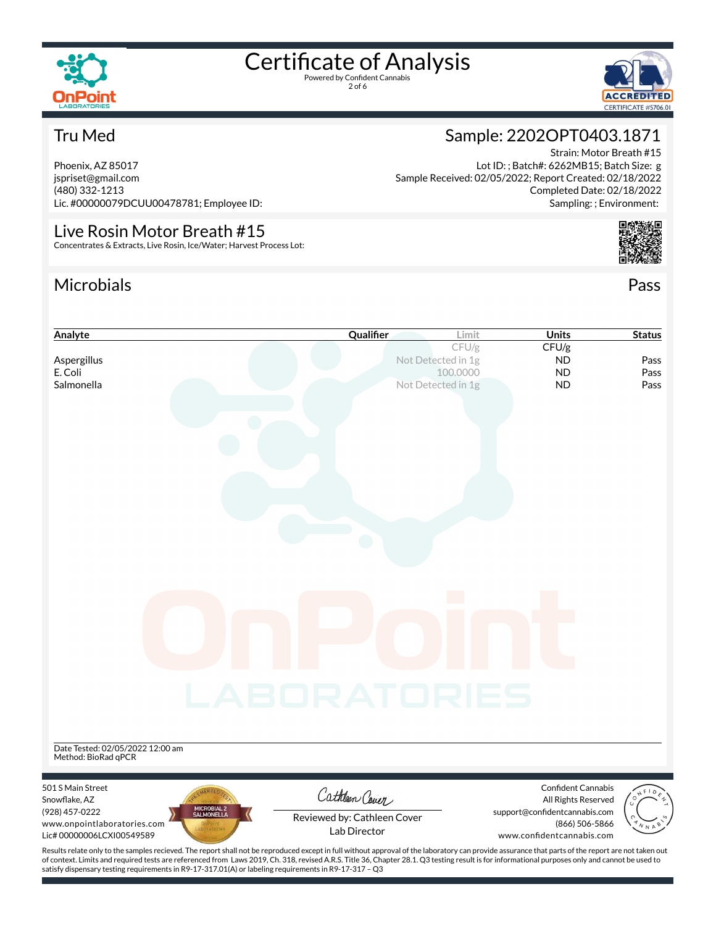

2 of 6



Strain: Motor Breath #15

Completed Date: 02/18/2022 Sampling: ; Environment:

Sample: 2202OPT0403.1871

Sample Received: 02/05/2022; Report Created: 02/18/2022

Lot ID: ; Batch#: 6262MB15; Batch Size: g

### Tru Med

Phoenix, AZ 85017 jspriset@gmail.com (480) 332-1213 Lic. #00000079DCUU00478781; Employee ID:

### Live Rosin Motor Breath #15

Concentrates & Extracts, Live Rosin, Ice/Water; Harvest Process Lot:

### Microbials Pass



### **Analyte Cualifier Limit Status Cualifier Limit Units Status** CFU/g **CFU/g Aspergillus Not Detected in 1g ND Pass** E. Coli 100.0000 ND Pass **Salmonella** Not Detected in 1g **ND** Pass Date Tested: 02/05/2022 12:00 am Method: BioRad qPCR 501 S Main Street Confident Cannabis Cathleen Cover Snowflake, AZ All Rights Reserved (928) 457-0222 support@confidentcannabis.com Reviewed by: Cathleen Cover www.onpointlaboratories.com (866) 506-5866 Lab DirectorLic# 00000006LCXI00549589 www.confidentcannabis.com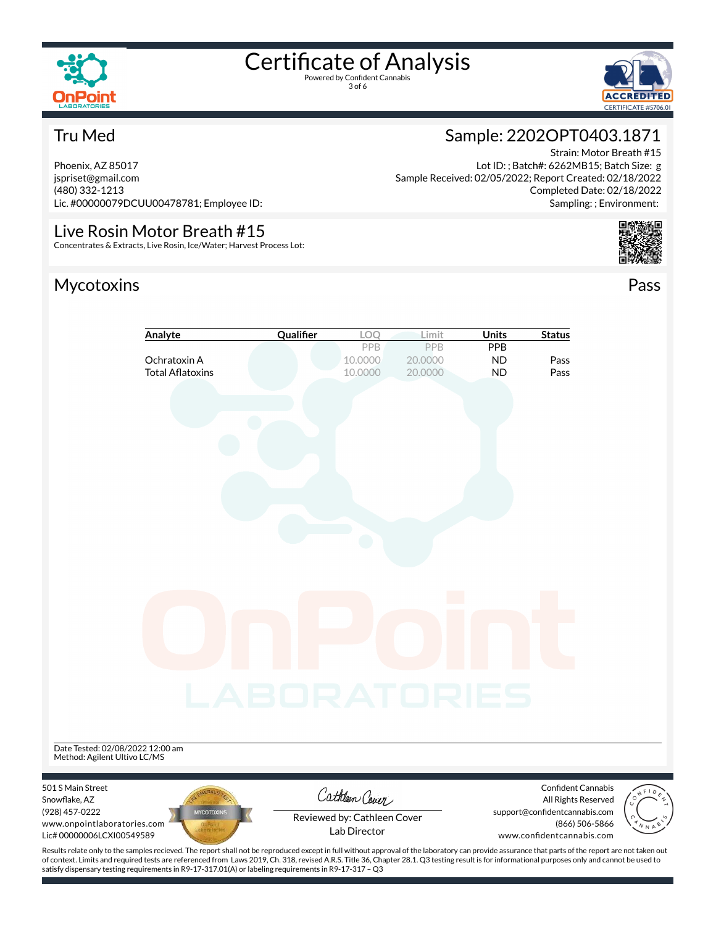

3 of 6



Strain: Motor Breath #15

Completed Date: 02/18/2022 Sampling: ; Environment:

Sample: 2202OPT0403.1871

Sample Received: 02/05/2022; Report Created: 02/18/2022

Lot ID: ; Batch#: 6262MB15; Batch Size: g

### Tru Med

Phoenix, AZ 85017 jspriset@gmail.com (480) 332-1213 Lic. #00000079DCUU00478781; Employee ID:

### Live Rosin Motor Breath #15

Concentrates & Extracts, Live Rosin, Ice/Water; Harvest Process Lot:

### Mycotoxins Pass



### **Analyte Cualifier** LOQ Limit Units Status PPB PPB PPB **Ochratoxin A 10.0000 20.0000 <b>ND** Pass Total Aflatoxins **10.0000 20.0000 ND** Pass Date Tested: 02/08/2022 12:00 am Method: Agilent Ultivo LC/MS 501 S Main Street Confident Cannabis Cathleen Cover Snowflake, AZ All Rights Reserved (928) 457-0222 support@confidentcannabis.com MYCOTO Reviewed by: Cathleen Cover www.onpointlaboratories.com (866) 506-5866 Lab DirectorLic# 00000006LCXI00549589 www.confidentcannabis.com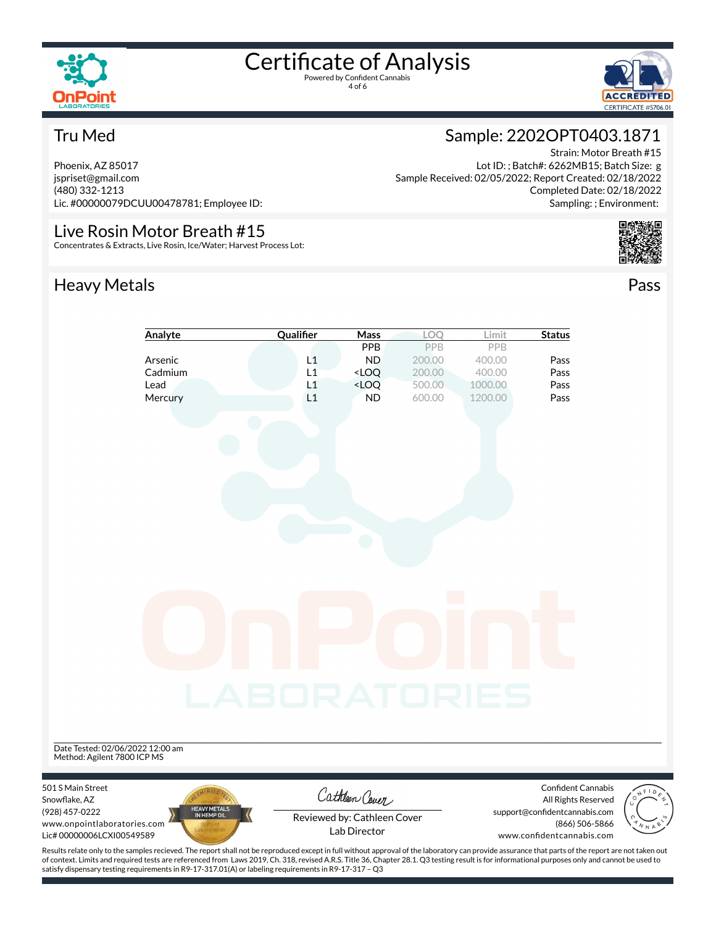

4 of 6



Strain: Motor Breath #15

Completed Date: 02/18/2022 Sampling: ; Environment:

Sample: 2202OPT0403.1871

Sample Received: 02/05/2022; Report Created: 02/18/2022

Lot ID: ; Batch#: 6262MB15; Batch Size: g

### Tru Med

Phoenix, AZ 85017 jspriset@gmail.com (480) 332-1213 Lic. #00000079DCUU00478781; Employee ID:

### Live Rosin Motor Breath #15

Concentrates & Extracts, Live Rosin, Ice/Water; Harvest Process Lot:

### Heavy Metals **Pass**



### **Analyte Qualifier Mass LOQ** Limit **Status** PPB PPB PPB **Arsenic L1 ND** 200.00 400.00 **Pass** Cadmium L1 <LOQ 200.00 400.00 Pass **Lead L1 <LOQ** 500.00 1000.00 **Pass Mercury Community Community L1 ND** 600.00 1200.00 **Pass** Date Tested: 02/06/2022 12:00 am Method: Agilent 7800 ICP MS 501 S Main Street Confident Cannabis Cathleen Cover Snowflake, AZ All Rights Reserved (928) 457-0222 support@confidentcannabis.com Reviewed by: Cathleen Cover www.onpointlaboratories.com (866) 506-5866 Lab DirectorLic# 00000006LCXI00549589 www.confidentcannabis.com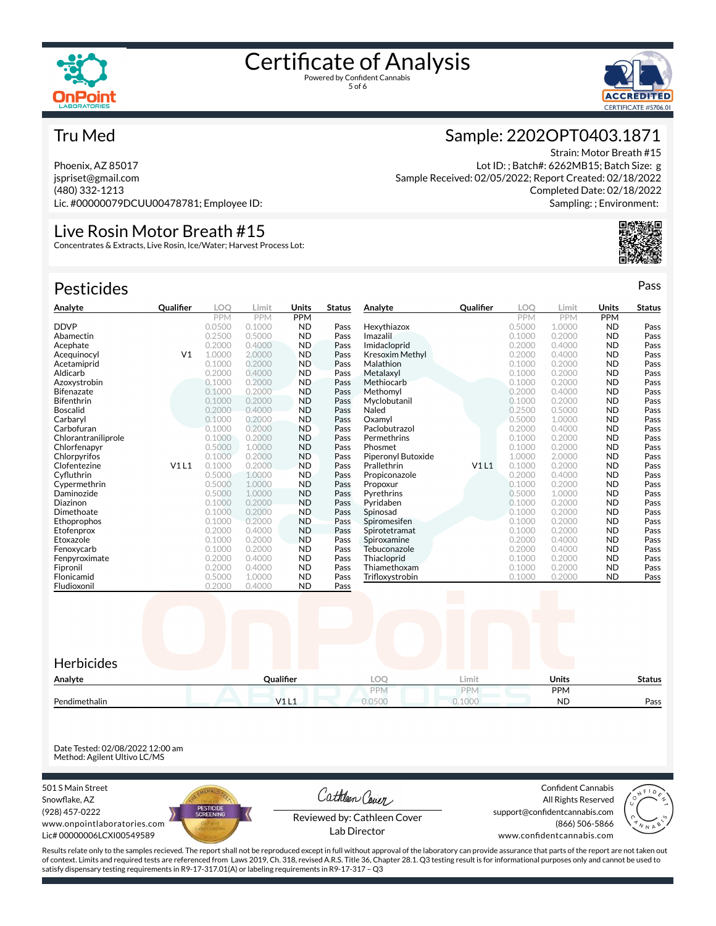



### Tru Med

Phoenix, AZ 85017 jspriset@gmail.com (480) 332-1213 Lic. #00000079DCUU00478781; Employee ID:

### Live Rosin Motor Breath #15

Concentrates & Extracts, Live Rosin, Ice/Water; Harvest Process Lot:

| <b>Pesticides</b>   |                |        |        |            |               |                        |                  |            |        |            | Pass          |
|---------------------|----------------|--------|--------|------------|---------------|------------------------|------------------|------------|--------|------------|---------------|
| Analyte             | Qualifier      | LOO    | Limit  | Units      | <b>Status</b> | Analyte                | <b>Qualifier</b> | <b>LOO</b> | Limit  | Units      | <b>Status</b> |
|                     |                | PPM    | PPM    | <b>PPM</b> |               |                        |                  | PPM        | PPM    | <b>PPM</b> |               |
| <b>DDVP</b>         |                | 0.0500 | 0.1000 | <b>ND</b>  | Pass          | Hexythiazox            |                  | 0.5000     | 1.0000 | <b>ND</b>  | Pass          |
| Abamectin           |                | 0.2500 | 0.5000 | <b>ND</b>  | Pass          | Imazalil               |                  | 0.1000     | 0.2000 | <b>ND</b>  | Pass          |
| Acephate            |                | 0.2000 | 0.4000 | <b>ND</b>  | Pass          | Imidacloprid           |                  | 0.2000     | 0.4000 | <b>ND</b>  | Pass          |
| Acequinocyl         | V <sub>1</sub> | 1.0000 | 2,0000 | <b>ND</b>  | Pass          | <b>Kresoxim Methyl</b> |                  | 0.2000     | 0.4000 | <b>ND</b>  | Pass          |
| Acetamiprid         |                | 0.1000 | 0.2000 | <b>ND</b>  | Pass          | Malathion              |                  | 0.1000     | 0.2000 | <b>ND</b>  | Pass          |
| Aldicarb            |                | 0.2000 | 0.4000 | <b>ND</b>  | Pass          | Metalaxyl              |                  | 0.1000     | 0.2000 | <b>ND</b>  | Pass          |
| Azoxystrobin        |                | 0.1000 | 0.2000 | <b>ND</b>  | Pass          | Methiocarb             |                  | 0.1000     | 0.2000 | <b>ND</b>  | Pass          |
| <b>Bifenazate</b>   |                | 0.1000 | 0.2000 | <b>ND</b>  | Pass          | Methomyl               |                  | 0.2000     | 0.4000 | <b>ND</b>  | Pass          |
| Bifenthrin          |                | 0.1000 | 0.2000 | <b>ND</b>  | Pass          | Myclobutanil           |                  | 0.1000     | 0.2000 | <b>ND</b>  | Pass          |
| <b>Boscalid</b>     |                | 0.2000 | 0.4000 | <b>ND</b>  | Pass          | Naled                  |                  | 0.2500     | 0.5000 | <b>ND</b>  | Pass          |
| Carbaryl            |                | 0.1000 | 0.2000 | <b>ND</b>  | Pass          | Oxamvl                 |                  | 0.5000     | 1.0000 | <b>ND</b>  | Pass          |
| Carbofuran          |                | 0.1000 | 0.2000 | <b>ND</b>  | Pass          | Paclobutrazol          |                  | 0.2000     | 0.4000 | <b>ND</b>  | Pass          |
| Chlorantraniliprole |                | 0.1000 | 0.2000 | <b>ND</b>  | Pass          | Permethrins            |                  | 0.1000     | 0.2000 | <b>ND</b>  | Pass          |
| Chlorfenapyr        |                | 0.5000 | 1.0000 | <b>ND</b>  | Pass          | Phosmet                |                  | 0.1000     | 0.2000 | <b>ND</b>  | Pass          |
| Chlorpyrifos        |                | 0.1000 | 0.2000 | <b>ND</b>  | Pass          | Piperonyl Butoxide     |                  | 1.0000     | 2.0000 | <b>ND</b>  | Pass          |
| Clofentezine        | V1L1           | 0.1000 | 0.2000 | <b>ND</b>  | Pass          | Prallethrin            | V1L1             | 0.1000     | 0.2000 | <b>ND</b>  | Pass          |
| Cyfluthrin          |                | 0.5000 | 1.0000 | <b>ND</b>  | Pass          | Propiconazole          |                  | 0.2000     | 0.4000 | <b>ND</b>  | Pass          |
| Cypermethrin        |                | 0.5000 | 1.0000 | <b>ND</b>  | Pass          | Propoxur               |                  | 0.1000     | 0.2000 | <b>ND</b>  | Pass          |
| Daminozide          |                | 0.5000 | 1.0000 | <b>ND</b>  | Pass          | Pyrethrins             |                  | 0.5000     | 1.0000 | <b>ND</b>  | Pass          |
| Diazinon            |                | 0.1000 | 0.2000 | <b>ND</b>  | Pass          | Pvridaben              |                  | 0.1000     | 0.2000 | <b>ND</b>  | Pass          |
| Dimethoate          |                | 0.1000 | 0.2000 | <b>ND</b>  | Pass          | Spinosad               |                  | 0.1000     | 0.2000 | <b>ND</b>  | Pass          |
| Ethoprophos         |                | 0.1000 | 0.2000 | <b>ND</b>  | Pass          | Spiromesifen           |                  | 0.1000     | 0.2000 | <b>ND</b>  | Pass          |
| Etofenprox          |                | 0.2000 | 0.4000 | <b>ND</b>  | Pass          | Spirotetramat          |                  | 0.1000     | 0.2000 | <b>ND</b>  | Pass          |
| Etoxazole           |                | 0.1000 | 0.2000 | <b>ND</b>  | Pass          | Spiroxamine            |                  | 0.2000     | 0.4000 | <b>ND</b>  | Pass          |
| Fenoxycarb          |                | 0.1000 | 0.2000 | <b>ND</b>  | Pass          | Tebuconazole           |                  | 0.2000     | 0.4000 | <b>ND</b>  | Pass          |
| Fenpyroximate       |                | 0.2000 | 0.4000 | <b>ND</b>  | Pass          | Thiacloprid            |                  | 0.1000     | 0.2000 | <b>ND</b>  | Pass          |
| Fipronil            |                | 0.2000 | 0.4000 | <b>ND</b>  | Pass          | Thiamethoxam           |                  | 0.1000     | 0.2000 | <b>ND</b>  | Pass          |
| Flonicamid          |                | 0.5000 | 1.0000 | <b>ND</b>  | Pass          | Trifloxystrobin        |                  | 0.1000     | 0.2000 | <b>ND</b>  | Pass          |
| Fludioxonil         |                | 0.2000 | 0.4000 | <b>ND</b>  | Pass          |                        |                  |            |        |            |               |
|                     |                |        |        |            |               |                        |                  |            |        |            |               |

| Herbicides    |           |            |        |              |               |
|---------------|-----------|------------|--------|--------------|---------------|
| Analyte       | Qualifier | LOO        | Limit. | <b>Units</b> | <b>Status</b> |
|               |           | <b>PPM</b> | PPN    | PPM          |               |
| Pendimethalin | V1L1      | 0.0500     | 0.1000 | <b>ND</b>    | Pass          |

Date Tested: 02/08/2022 12:00 am Method: Agilent Ultivo LC/MS

501 S Main Street Snowflake, AZ (928) 457-0222 www.onpointlaboratories.com Lic# 00000006LCXI00549589



Cathleen Cover Reviewed by: Cathleen Cover

Confident Cannabis All Rights Reserved support@confidentcannabis.com (866) 506-5866



www.confidentcannabis.com

Results relate only to the samples recieved. The report shall not be reproduced except in full without approval of the laboratory can provide assurance that parts of the report are not taken out of context. Limits and required tests are referenced from Laws 2019, Ch. 318, revised A.R.S. Title 36, Chapter 28.1. Q3 testing result is for informational purposes only and cannot be used to satisfy dispensary testing requirements in R9-17-317.01(A) or labeling requirements in R9-17-317 – Q3

Lab Director

### Sample: 2202OPT0403.1871

Strain: Motor Breath #15 Lot ID: ; Batch#: 6262MB15; Batch Size: g Sample Received: 02/05/2022; Report Created: 02/18/2022 Completed Date: 02/18/2022 Sampling: ; Environment: